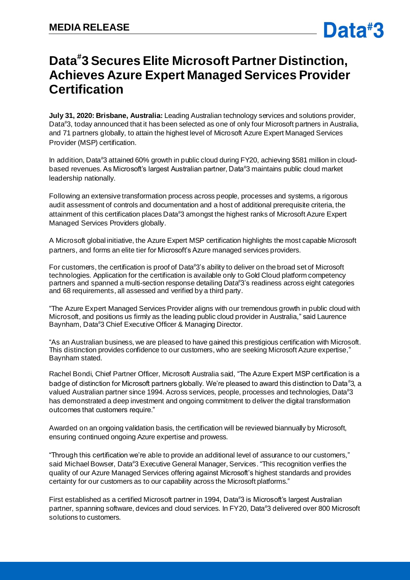# **Data# 3 Secures Elite Microsoft Partner Distinction, Achieves Azure Expert Managed Services Provider Certification**

**July 31, 2020: Brisbane, Australia:** Leading Australian technology services and solutions provider, Data#3, today announced that it has been selected as one of only four Microsoft partners in Australia, and 71 partners globally, to attain the highest level of Microsoft Azure Expert Managed Services Provider (MSP) certification.

In addition, Data#3 attained 60% growth in public cloud during FY20, achieving \$581 million in cloudbased revenues. As Microsoft's largest Australian partner, Data#3 maintains public cloud market leadership nationally.

Following an extensive transformation process across people, processes and systems, a rigorous audit assessment of controls and documentation and a host of additional prerequisite criteria, the attainment of this certification places Data#3 amongst the highest ranks of Microsoft Azure Expert Managed Services Providers globally.

A Microsoft global initiative, the Azure Expert MSP certification highlights the most capable Microsoft partners, and forms an elite tier for Microsoft's Azure managed services providers.

For customers, the certification is proof of Data#3's ability to deliver on thebroad set of Microsoft technologies. Application for the certification is available only to Gold Cloud platform competency partners and spanned a multi-section response detailing Data#3's readiness across eight categories and 68 requirements, all assessed and verified by a third party.

"The Azure Expert Managed Services Provider aligns with our tremendous growth in public cloud with Microsoft, and positions us firmly as the leading public cloud provider in Australia," said Laurence Baynham, Data#3 Chief Executive Officer & Managing Director.

"As an Australian business, we are pleased to have gained this prestigious certification with Microsoft. This distinction provides confidence to our customers, who are seeking Microsoft Azure expertise," Baynham stated.

Rachel Bondi, Chief Partner Officer, Microsoft Australia said, "The Azure Expert MSP certification is a badge of distinction for Microsoft partners globally. We're pleased to award this distinction to Data#3, a valued Australian partner since 1994. Across services, people, processes and technologies, Data#3 has demonstrated a deep investment and ongoing commitment to deliver the digital transformation outcomes that customers require."

Awarded on an ongoing validation basis, the certification will be reviewed biannually by Microsoft, ensuring continued ongoing Azure expertise and prowess.

"Through this certification we're able to provide an additional level of assurance to our customers," said Michael Bowser, Data#3 Executive General Manager, Services. "This recognition verifies the quality of our Azure Managed Services offering against Microsoft's highest standards and provides certainty for our customers as to our capability across the Microsoft platforms."

First established as a certified Microsoft partner in 1994, Data#3 is Microsoft's largest Australian partner, spanning software, devices and cloud services. In FY20, Data#3 delivered over 800 Microsoft solutions to customers.